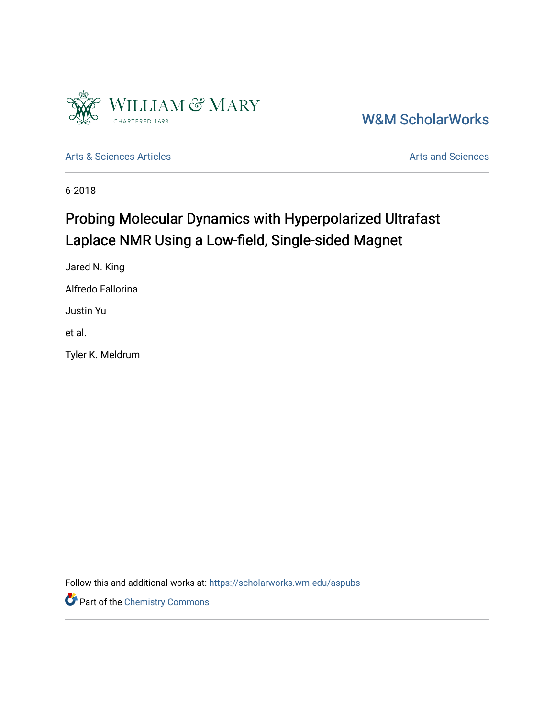

[W&M ScholarWorks](https://scholarworks.wm.edu/) 

[Arts & Sciences Articles](https://scholarworks.wm.edu/aspubs) **Articles** [Arts and Sciences](https://scholarworks.wm.edu/as) Articles Arts and Sciences Arts and Sciences

6-2018

# Probing Molecular Dynamics with Hyperpolarized Ultrafast Laplace NMR Using a Low-field, Single-sided Magnet

Jared N. King Alfredo Fallorina Justin Yu et al.

Tyler K. Meldrum

Follow this and additional works at: [https://scholarworks.wm.edu/aspubs](https://scholarworks.wm.edu/aspubs?utm_source=scholarworks.wm.edu%2Faspubs%2F2003&utm_medium=PDF&utm_campaign=PDFCoverPages) 

Part of the [Chemistry Commons](http://network.bepress.com/hgg/discipline/131?utm_source=scholarworks.wm.edu%2Faspubs%2F2003&utm_medium=PDF&utm_campaign=PDFCoverPages)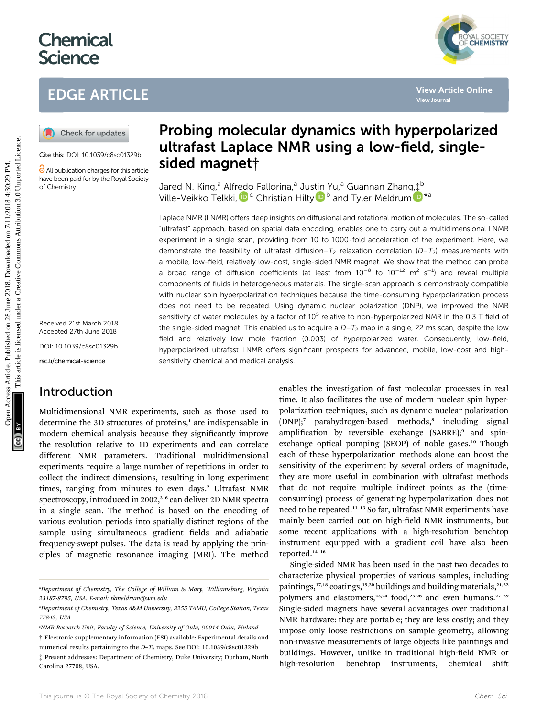# **Chemical Science**

# EDGE ARTICLE





Cite this: DOI: 10.1039/c8sc01329b

All publication charges for this article have been paid for by the Royal Society of Chemistry

Received 21st March 2018 Accepted 27th June 2018 DOI: 10.1039/c8sc01329b rsc.li/chemical-science

### Introduction

Multidimensional NMR experiments, such as those used to determine the 3D structures of proteins, $<sup>1</sup>$  are indispensable in</sup> modern chemical analysis because they significantly improve the resolution relative to 1D experiments and can correlate different NMR parameters. Traditional multidimensional experiments require a large number of repetitions in order to collect the indirect dimensions, resulting in long experiment times, ranging from minutes to even days.<sup>2</sup> Ultrafast NMR spectroscopy, introduced in 2002,<sup>3-6</sup> can deliver 2D NMR spectra in a single scan. The method is based on the encoding of various evolution periods into spatially distinct regions of the sample using simultaneous gradient fields and adiabatic frequency-swept pulses. The data is read by applying the principles of magnetic resonance imaging (MRI). The method

# Probing molecular dynamics with hyperpolarized ultrafast Laplace NMR using a low-field, singlesided magnet†

Jared N. King,<sup>a</sup> Alfredo Fallorina,<sup>a</sup> Justin Yu,<sup>a</sup> Guannan Zhang,‡<sup>b</sup> Ville-Veikko Telkki, D<sup>c</sup> Christian Hilty D<sup>b</sup> and Tyler Meldrum D<sup>\*a</sup>

Laplace NMR (LNMR) offers deep insights on diffusional and rotational motion of molecules. The so-called "ultrafast" approach, based on spatial data encoding, enables one to carry out a multidimensional LNMR experiment in a single scan, providing from 10 to 1000-fold acceleration of the experiment. Here, we demonstrate the feasibility of ultrafast diffusion– $T_2$  relaxation correlation ( $D-T_2$ ) measurements with a mobile, low-field, relatively low-cost, single-sided NMR magnet. We show that the method can probe a broad range of diffusion coefficients (at least from  $10^{-8}$  to  $10^{-12}$  m<sup>2</sup> s<sup>-1</sup>) and reveal multiple components of fluids in heterogeneous materials. The single-scan approach is demonstrably compatible with nuclear spin hyperpolarization techniques because the time-consuming hyperpolarization process does not need to be repeated. Using dynamic nuclear polarization (DNP), we improved the NMR sensitivity of water molecules by a factor of  $10^5$  relative to non-hyperpolarized NMR in the 0.3 T field of the single-sided magnet. This enabled us to acquire a  $D-T_2$  map in a single, 22 ms scan, despite the low field and relatively low mole fraction (0.003) of hyperpolarized water. Consequently, low-field, hyperpolarized ultrafast LNMR offers significant prospects for advanced, mobile, low-cost and highsensitivity chemical and medical analysis. **CD** CHE ARTICLE<br> **CO** Check for unders **article is article in the common access Article is an article in the common access Article is like the common access Article is a second and the common access Article is like the co** 

enables the investigation of fast molecular processes in real time. It also facilitates the use of modern nuclear spin hyperpolarization techniques, such as dynamic nuclear polarization (DNP);<sup>7</sup> parahydrogen-based methods,<sup>8</sup> including signal amplification by reversible exchange  $(SABRE)$ ; and spinexchange optical pumping (SEOP) of noble gases.<sup>10</sup> Though each of these hyperpolarization methods alone can boost the sensitivity of the experiment by several orders of magnitude, they are more useful in combination with ultrafast methods that do not require multiple indirect points as the (timeconsuming) process of generating hyperpolarization does not need to be repeated.<sup>11-13</sup> So far, ultrafast NMR experiments have mainly been carried out on high-field NMR instruments, but some recent applications with a high-resolution benchtop instrument equipped with a gradient coil have also been reported.14–16

Single-sided NMR has been used in the past two decades to characterize physical properties of various samples, including paintings, $17,18$  coatings, $19,20$  buildings and building materials, $21,22$ polymers and elastomers,<sup>23,24</sup> food,<sup>25,26</sup> and even humans.<sup>27-29</sup> Single-sided magnets have several advantages over traditional NMR hardware: they are portable; they are less costly; and they impose only loose restrictions on sample geometry, allowing non-invasive measurements of large objects like paintings and buildings. However, unlike in traditional high-field NMR or high-resolution benchtop instruments, chemical shi

YAL SOCIETY<br>**CHEMISTRY** 

a Department of Chemistry, The College of William & Mary, Williamsburg, Virginia 23187-8795, USA. E-mail: tkmeldrum@wm.edu

b Department of Chemistry, Texas A&M University, 3255 TAMU, College Station, Texas 77843, USA

c NMR Research Unit, Faculty of Science, University of Oulu, 90014 Oulu, Finland

<sup>†</sup> Electronic supplementary information (ESI) available: Experimental details and numerical results pertaining to the  $D-T_2$  maps. See DOI: 10.1039/c8sc01329b

<sup>‡</sup> Present addresses: Department of Chemistry, Duke University; Durham, North Carolina 27708, USA.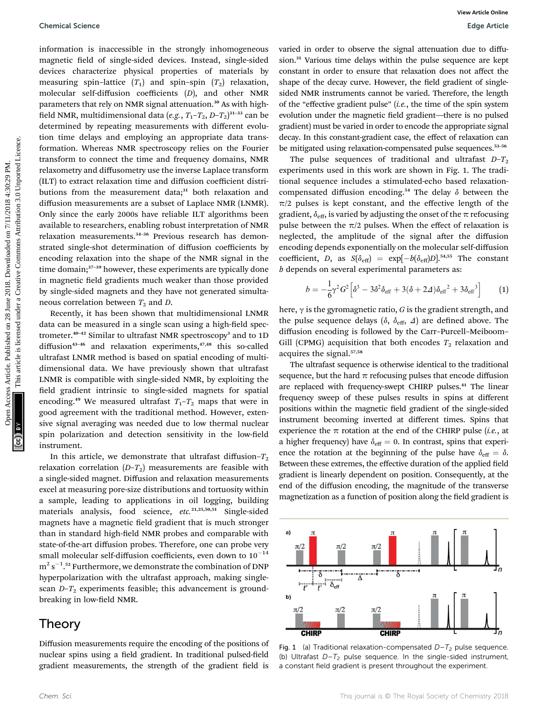information is inaccessible in the strongly inhomogeneous magnetic field of single-sided devices. Instead, single-sided devices characterize physical properties of materials by measuring spin–lattice  $(T_1)$  and spin–spin  $(T_2)$  relaxation, molecular self-diffusion coefficients (D), and other NMR parameters that rely on NMR signal attenuation.<sup>30</sup> As with highfield NMR, multidimensional data  $(e.g., T_1-T_2, D-T_2)^{31-33}$  can be determined by repeating measurements with different evolution time delays and employing an appropriate data transformation. Whereas NMR spectroscopy relies on the Fourier transform to connect the time and frequency domains, NMR relaxometry and diffusometry use the inverse Laplace transform (ILT) to extract relaxation time and diffusion coefficient distributions from the measurement data;<sup>31</sup> both relaxation and diffusion measurements are a subset of Laplace NMR (LNMR). Only since the early 2000s have reliable ILT algorithms been available to researchers, enabling robust interpretation of NMR relaxation measurements.<sup>34-36</sup> Previous research has demonstrated single-shot determination of diffusion coefficients by encoding relaxation into the shape of the NMR signal in the time domain;<sup>37-39</sup> however, these experiments are typically done in magnetic field gradients much weaker than those provided by single-sided magnets and they have not generated simultaneous correlation between  $T_2$  and D. Openical Science<br>
Information is interestible in the strongly-minimageneous varied in order on the<br>strongly-minimal distribution of the strongly-minimal distribution of the strongly-minimal distribution is<br>the distributio

Recently, it has been shown that multidimensional LNMR data can be measured in a single scan using a high-field spectrometer.<sup>40-42</sup> Similar to ultrafast NMR spectroscopy<sup>3</sup> and to 1D diffusion<sup>43-46</sup> and relaxation experiments, $47,48$  this so-called ultrafast LNMR method is based on spatial encoding of multidimensional data. We have previously shown that ultrafast LNMR is compatible with single-sided NMR, by exploiting the field gradient intrinsic to single-sided magnets for spatial encoding.<sup>49</sup> We measured ultrafast  $T_1 - T_2$  maps that were in good agreement with the traditional method. However, extensive signal averaging was needed due to low thermal nuclear spin polarization and detection sensitivity in the low-field instrument.

In this article, we demonstrate that ultrafast diffusion- $T_2$ relaxation correlation  $(D-T_2)$  measurements are feasible with a single-sided magnet. Diffusion and relaxation measurements excel at measuring pore-size distributions and tortuosity within a sample, leading to applications in oil logging, building materials analysis, food science, etc.<sup>21,25,50,51</sup> Single-sided magnets have a magnetic field gradient that is much stronger than in standard high-field NMR probes and comparable with state-of-the-art diffusion probes. Therefore, one can probe very small molecular self-diffusion coefficients, even down to  $10^{-14}$  $\mathrm{m}^{2}\,\mathrm{s}^{-1}$ .<sup>52</sup> Furthermore, we demonstrate the combination of DNP hyperpolarization with the ultrafast approach, making singlescan  $D-T_2$  experiments feasible; this advancement is groundbreaking in low-field NMR.

### Theory

Diffusion measurements require the encoding of the positions of nuclear spins using a field gradient. In traditional pulsed-field gradient measurements, the strength of the gradient field is

varied in order to observe the signal attenuation due to diffusion.<sup>31</sup> Various time delays within the pulse sequence are kept constant in order to ensure that relaxation does not affect the shape of the decay curve. However, the field gradient of singlesided NMR instruments cannot be varied. Therefore, the length of the "effective gradient pulse" (i.e., the time of the spin system evolution under the magnetic field gradient—there is no pulsed gradient) must be varied in order to encode the appropriate signal decay. In this constant-gradient case, the effect of relaxation can be mitigated using relaxation-compensated pulse sequences.<sup>53-56</sup>

The pulse sequences of traditional and ultrafast  $D-T_2$ experiments used in this work are shown in Fig. 1. The traditional sequence includes a stimulated-echo based relaxationcompensated diffusion encoding.<sup>54</sup> The delay  $\delta$  between the  $\pi/2$  pulses is kept constant, and the effective length of the gradient,  $\delta_{\text{eff}}$ , is varied by adjusting the onset of the  $\pi$  refocusing pulse between the  $\pi/2$  pulses. When the effect of relaxation is neglected, the amplitude of the signal after the diffusion encoding depends exponentially on the molecular self-diffusion coefficient, D, as  $S(\delta_{\text{eff}}) = \exp[-b(\delta_{\text{eff}})D]$ .<sup>54,55</sup> The constant b depends on several experimental parameters as:

$$
b = -\frac{1}{6}\gamma^2 G^2 \Big[ \delta^3 - 3\delta^2 \delta_{\text{eff}} + 3(\delta + 2\Delta)\delta_{\text{eff}}^2 + 3\delta_{\text{eff}}^3 \Big] \tag{1}
$$

here,  $\gamma$  is the gyromagnetic ratio, G is the gradient strength, and the pulse sequence delays ( $\delta$ ,  $\delta$ <sub>eff</sub>,  $\Delta$ ) are defined above. The diffusion encoding is followed by the Carr–Purcell–Meiboom– Gill (CPMG) acquisition that both encodes  $T_2$  relaxation and acquires the signal.57,58

The ultrafast sequence is otherwise identical to the traditional sequence, but the hard  $\pi$  refocusing pulses that encode diffusion are replaced with frequency-swept CHIRP pulses.<sup>41</sup> The linear frequency sweep of these pulses results in spins at different positions within the magnetic field gradient of the single-sided instrument becoming inverted at different times. Spins that experience the  $\pi$  rotation at the end of the CHIRP pulse (i.e., at a higher frequency) have  $\delta_{\text{eff}} = 0$ . In contrast, spins that experience the rotation at the beginning of the pulse have  $\delta_{\text{eff}} = \delta$ . Between these extremes, the effective duration of the applied field gradient is linearly dependent on position. Consequently, at the end of the diffusion encoding, the magnitude of the transverse magnetization as a function of position along the field gradient is



Fig. 1 (a) Traditional relaxation-compensated  $D-T_2$  pulse sequence. (b) Ultrafast  $D-T_2$  pulse sequence. In the single-sided instrument, a constant field gradient is present throughout the experiment.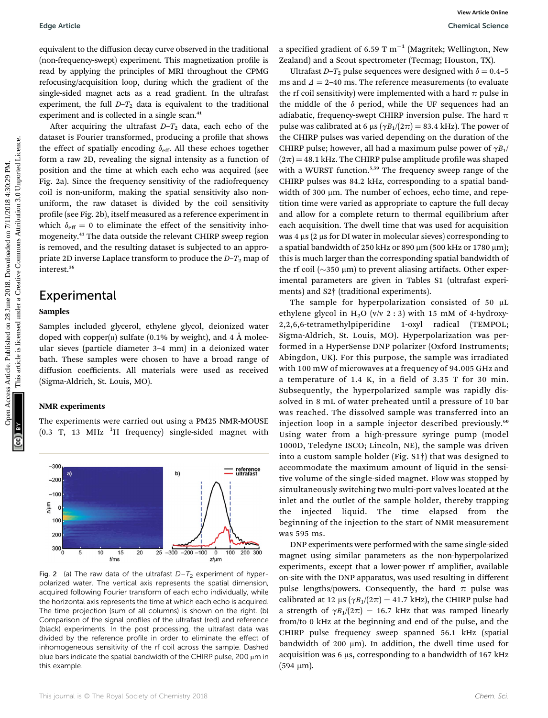equivalent to the diffusion decay curve observed in the traditional (non-frequency-swept) experiment. This magnetization profile is read by applying the principles of MRI throughout the CPMG refocusing/acquisition loop, during which the gradient of the single-sided magnet acts as a read gradient. In the ultrafast experiment, the full  $D-T_2$  data is equivalent to the traditional experiment and is collected in a single scan.<sup>41</sup>

After acquiring the ultrafast  $D-T_2$  data, each echo of the dataset is Fourier transformed, producing a profile that shows the effect of spatially encoding  $\delta_{\text{eff}}$ . All these echoes together form a raw 2D, revealing the signal intensity as a function of position and the time at which each echo was acquired (see Fig. 2a). Since the frequency sensitivity of the radiofrequency coil is non-uniform, making the spatial sensitivity also nonuniform, the raw dataset is divided by the coil sensitivity profile (see Fig. 2b), itself measured as a reference experiment in which  $\delta_{\text{eff}} = 0$  to eliminate the effect of the sensitivity inhomogeneity.<sup>41</sup> The data outside the relevant CHIRP sweep region is removed, and the resulting dataset is subjected to an appropriate 2D inverse Laplace transform to produce the  $D-T_2$  map of interest.36

### Experimental

## Samples

Samples included glycerol, ethylene glycol, deionized water doped with copper $(n)$  sulfate (0.1% by weight), and 4 Å molecular sieves (particle diameter 3–4 mm) in a deionized water bath. These samples were chosen to have a broad range of diffusion coefficients. All materials were used as received (Sigma-Aldrich, St. Louis, MO).

### NMR experiments

The experiments were carried out using a PM25 NMR-MOUSE  $(0.3$  T, 13 MHz  $^{1}$ H frequency) single-sided magnet with



Fig. 2 (a) The raw data of the ultrafast  $D-T_2$  experiment of hyperpolarized water. The vertical axis represents the spatial dimension, acquired following Fourier transform of each echo individually, while the horizontal axis represents the time at which each echo is acquired. The time projection (sum of all columns) is shown on the right. (b) Comparison of the signal profiles of the ultrafast (red) and reference (black) experiments. In the post processing, the ultrafast data was divided by the reference profile in order to eliminate the effect of inhomogeneous sensitivity of the rf coil across the sample. Dashed blue bars indicate the spatial bandwidth of the CHIRP pulse, 200  $\mu$ m in this example.

a specified gradient of 6.59 T  $m^{-1}$  (Magritek; Wellington, New Zealand) and a Scout spectrometer (Tecmag; Houston, TX).

Ultrafast  $D-T_2$  pulse sequences were designed with  $\delta = 0.4$ –5 ms and  $\Delta$  = 2–40 ms. The reference measurements (to evaluate the rf coil sensitivity) were implemented with a hard  $\pi$  pulse in the middle of the  $\delta$  period, while the UF sequences had an adiabatic, frequency-swept CHIRP inversion pulse. The hard  $\pi$ pulse was calibrated at 6  $\mu$ s ( $\gamma B_1/(2\pi) = 83.4$  kHz). The power of the CHIRP pulses was varied depending on the duration of the CHIRP pulse; however, all had a maximum pulse power of  $\gamma B_1$ /  $(2\pi)$  = 48.1 kHz. The CHIRP pulse amplitude profile was shaped with a WURST function.<sup>5,59</sup> The frequency sweep range of the CHIRP pulses was 84.2 kHz, corresponding to a spatial bandwidth of 300 µm. The number of echoes, echo time, and repetition time were varied as appropriate to capture the full decay and allow for a complete return to thermal equilibrium after each acquisition. The dwell time that was used for acquisition was 4  $\mu$ s (2  $\mu$ s for DI water in molecular sieves) corresponding to a spatial bandwidth of 250 kHz or 890  $\mu$ m (500 kHz or 1780  $\mu$ m); this is much larger than the corresponding spatial bandwidth of the rf coil ( $\sim$ 350 µm) to prevent aliasing artifacts. Other experimental parameters are given in Tables S1 (ultrafast experiments) and S2† (traditional experiments). Edge Article<br>
equiding incomes are presented on the magnitude of  $\approx$  28 June 2018. Download Science (From Health Science Common Access Article is article in the article incomes are common access that are all the substitu

The sample for hyperpolarization consisted of 50  $\mu$ L ethylene glycol in H<sub>2</sub>O (v/v 2 : 3) with 15 mM of 4-hydroxy-2,2,6,6-tetramethylpiperidine 1-oxyl radical (TEMPOL; Sigma-Aldrich, St. Louis, MO). Hyperpolarization was performed in a HyperSense DNP polarizer (Oxford Instruments; Abingdon, UK). For this purpose, the sample was irradiated with 100 mW of microwaves at a frequency of 94.005 GHz and a temperature of  $1.4$  K, in a field of  $3.35$  T for  $30$  min. Subsequently, the hyperpolarized sample was rapidly dissolved in 8 mL of water preheated until a pressure of 10 bar was reached. The dissolved sample was transferred into an injection loop in a sample injector described previously.<sup>60</sup> Using water from a high-pressure syringe pump (model 1000D, Teledyne ISCO; Lincoln, NE), the sample was driven into a custom sample holder (Fig. S1†) that was designed to accommodate the maximum amount of liquid in the sensitive volume of the single-sided magnet. Flow was stopped by simultaneously switching two multi-port valves located at the inlet and the outlet of the sample holder, thereby trapping the injected liquid. The time elapsed from the beginning of the injection to the start of NMR measurement was 595 ms.

DNP experiments were performed with the same single-sided magnet using similar parameters as the non-hyperpolarized experiments, except that a lower-power rf amplifier, available on-site with the DNP apparatus, was used resulting in different pulse lengths/powers. Consequently, the hard  $\pi$  pulse was calibrated at 12  $\mu s$  ( $\gamma B_1/(2\pi) = 41.7$  kHz), the CHIRP pulse had a strength of  $\gamma B_1/(2\pi) = 16.7$  kHz that was ramped linearly from/to 0 kHz at the beginning and end of the pulse, and the CHIRP pulse frequency sweep spanned 56.1 kHz (spatial bandwidth of  $200 \mu m$ ). In addition, the dwell time used for acquisition was  $6 \mu s$ , corresponding to a bandwidth of 167 kHz  $(594 \mu m)$ .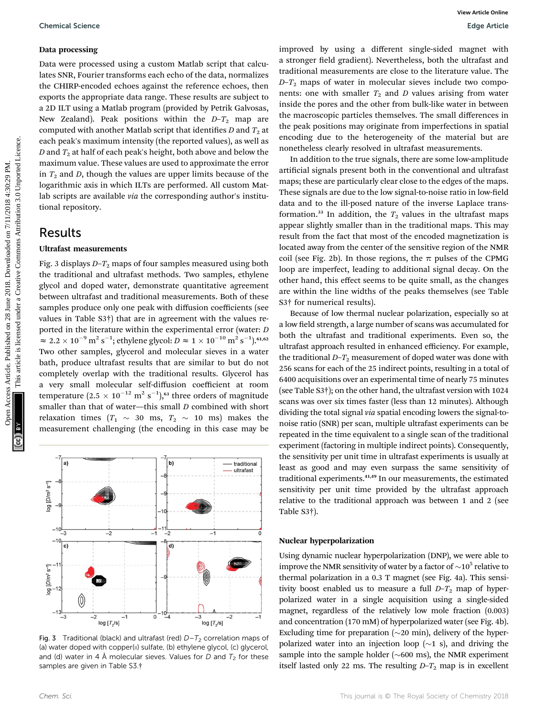#### Data processing

Data were processed using a custom Matlab script that calculates SNR, Fourier transforms each echo of the data, normalizes the CHIRP-encoded echoes against the reference echoes, then exports the appropriate data range. These results are subject to a 2D ILT using a Matlab program (provided by Petrik Galvosas, New Zealand). Peak positions within the  $D-T_2$  map are computed with another Matlab script that identifies  $D$  and  $T_2$  at each peak's maximum intensity (the reported values), as well as  $D$  and  $T_2$  at half of each peak's height, both above and below the maximum value. These values are used to approximate the error in  $T_2$  and D, though the values are upper limits because of the logarithmic axis in which ILTs are performed. All custom Matlab scripts are available via the corresponding author's institutional repository.

#### Results

Fig. 3 displays  $D-T_2$  maps of four samples measured using both the traditional and ultrafast methods. Two samples, ethylene glycol and doped water, demonstrate quantitative agreement between ultrafast and traditional measurements. Both of these samples produce only one peak with diffusion coefficients (see values in Table S3†) that are in agreement with the values reported in the literature within the experimental error (water: D  $\approx 2.2 \times 10^{-9} \,\mathrm{m^2\,s^{-1}}$ ; ethylene glycol:  $D \approx 1 \times 10^{-10} \,\mathrm{m^2\,s^{-1}}$ ).<sup>61,62</sup> Two other samples, glycerol and molecular sieves in a water bath, produce ultrafast results that are similar to but do not completely overlap with the traditional results. Glycerol has a very small molecular self-diffusion coefficient at room temperature (2.5  $\times$  10<sup>–12</sup> m<sup>2</sup> s<sup>–1</sup>),<sup>63</sup> three orders of magnitude smaller than that of water—this small D combined with short relaxation times  $(T_1 \sim 30 \text{ ms}, T_2 \sim 10 \text{ ms})$  makes the measurement challenging (the encoding in this case may be Openies Science<br>
Data process are processed using a custom Malah script that calce a stronger head genetic there are process and the methods are process and the creative article in the creative of the creative of the crea



Fig. 3 Traditional (black) and ultrafast (red)  $D-T_2$  correlation maps of (a) water doped with copper(II) sulfate, (b) ethylene glycol, (c) glycerol, and (d) water in 4 Å molecular sieves. Values for  $D$  and  $T_2$  for these samples are given in Table S3.†

improved by using a different single-sided magnet with a stronger field gradient). Nevertheless, both the ultrafast and traditional measurements are close to the literature value. The  $D-T_2$  maps of water in molecular sieves include two components: one with smaller  $T_2$  and  $D$  values arising from water inside the pores and the other from bulk-like water in between the macroscopic particles themselves. The small differences in the peak positions may originate from imperfections in spatial encoding due to the heterogeneity of the material but are nonetheless clearly resolved in ultrafast measurements.

In addition to the true signals, there are some low-amplitude artificial signals present both in the conventional and ultrafast maps; these are particularly clear close to the edges of the maps. These signals are due to the low signal-to-noise ratio in low-field data and to the ill-posed nature of the inverse Laplace transformation.<sup>33</sup> In addition, the  $T_2$  values in the ultrafast maps appear slightly smaller than in the traditional maps. This may result from the fact that most of the encoded magnetization is located away from the center of the sensitive region of the NMR coil (see Fig. 2b). In those regions, the  $\pi$  pulses of the CPMG loop are imperfect, leading to additional signal decay. On the other hand, this effect seems to be quite small, as the changes are within the line widths of the peaks themselves (see Table S3† for numerical results).

Because of low thermal nuclear polarization, especially so at a low field strength, a large number of scans was accumulated for both the ultrafast and traditional experiments. Even so, the ultrafast approach resulted in enhanced efficiency. For example, the traditional  $D-T_2$  measurement of doped water was done with 256 scans for each of the 25 indirect points, resulting in a total of 6400 acquisitions over an experimental time of nearly 75 minutes (see Table S3†); on the other hand, the ultrafast version with 1024 scans was over six times faster (less than 12 minutes). Although dividing the total signal via spatial encoding lowers the signal-tonoise ratio (SNR) per scan, multiple ultrafast experiments can be repeated in the time equivalent to a single scan of the traditional experiment (factoring in multiple indirect points). Consequently, the sensitivity per unit time in ultrafast experiments is usually at least as good and may even surpass the same sensitivity of traditional experiments.41,49 In our measurements, the estimated sensitivity per unit time provided by the ultrafast approach relative to the traditional approach was between 1 and 2 (see Table S3†).

### $N_{\rm F}$  has a hyperpolarization in  $\sim$

Using dynamic nuclear hyperpolarization (DNP), we were able to improve the NMR sensitivity of water by a factor of  $\sim 10^5$  relative to thermal polarization in a 0.3 T magnet (see Fig. 4a). This sensitivity boost enabled us to measure a full  $D-T_2$  map of hyperpolarized water in a single acquisition using a single-sided magnet, regardless of the relatively low mole fraction (0.003) and concentration (170 mM) of hyperpolarized water (see Fig. 4b). Excluding time for preparation  $(\sim 20 \text{ min})$ , delivery of the hyperpolarized water into an injection loop  $(\sim 1 \text{ s})$ , and driving the sample into the sample holder ( $\sim$ 600 ms), the NMR experiment itself lasted only 22 ms. The resulting  $D-T_2$  map is in excellent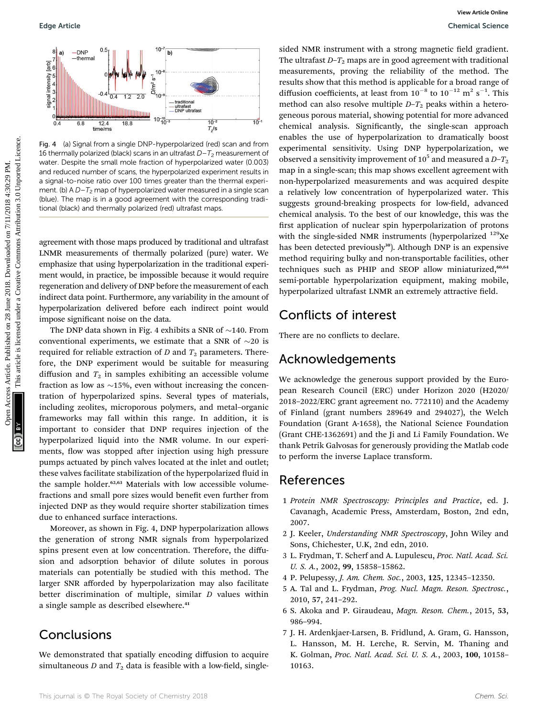

Fig. 4 (a) Signal from a single DNP-hyperpolarized (red) scan and from 16 thermally polarized (black) scans in an ultrafast  $D-T_2$  measurement of water. Despite the small mole fraction of hyperpolarized water (0.003) and reduced number of scans, the hyperpolarized experiment results in a signal-to-noise ratio over 100 times greater than the thermal experiment. (b)  $AD-T<sub>2</sub>$  map of hyperpolarized water measured in a single scan (blue). The map is in a good agreement with the corresponding traditional (black) and thermally polarized (red) ultrafast maps.

agreement with those maps produced by traditional and ultrafast LNMR measurements of thermally polarized (pure) water. We emphasize that using hyperpolarization in the traditional experiment would, in practice, be impossible because it would require regeneration and delivery of DNP before the measurement of each indirect data point. Furthermore, any variability in the amount of hyperpolarization delivered before each indirect point would impose significant noise on the data.

The DNP data shown in Fig. 4 exhibits a SNR of  $\sim$ 140. From conventional experiments, we estimate that a SNR of  $\sim$ 20 is required for reliable extraction of  $D$  and  $T_2$  parameters. Therefore, the DNP experiment would be suitable for measuring diffusion and  $T_2$  in samples exhibiting an accessible volume fraction as low as  $\sim$ 15%, even without increasing the concentration of hyperpolarized spins. Several types of materials, including zeolites, microporous polymers, and metal–organic frameworks may fall within this range. In addition, it is important to consider that DNP requires injection of the hyperpolarized liquid into the NMR volume. In our experiments, flow was stopped after injection using high pressure pumps actuated by pinch valves located at the inlet and outlet; these valves facilitate stabilization of the hyperpolarized fluid in the sample holder.<sup>62,63</sup> Materials with low accessible volumefractions and small pore sizes would benefit even further from injected DNP as they would require shorter stabilization times due to enhanced surface interactions.

Moreover, as shown in Fig. 4, DNP hyperpolarization allows the generation of strong NMR signals from hyperpolarized spins present even at low concentration. Therefore, the diffusion and adsorption behavior of dilute solutes in porous materials can potentially be studied with this method. The larger SNR afforded by hyperpolarization may also facilitate better discrimination of multiple, similar D values within a single sample as described elsewhere.<sup>41</sup>

### **Conclusions**

We demonstrated that spatially encoding diffusion to acquire simultaneous D and  $T_2$  data is feasible with a low-field, single-

sided NMR instrument with a strong magnetic field gradient. The ultrafast  $D-T_2$  maps are in good agreement with traditional measurements, proving the reliability of the method. The results show that this method is applicable for a broad range of diffusion coefficients, at least from  $10^{-8}$  to  $10^{-12}$  m<sup>2</sup> s<sup>-1</sup>. This method can also resolve multiple  $D-T_2$  peaks within a heterogeneous porous material, showing potential for more advanced chemical analysis. Significantly, the single-scan approach enables the use of hyperpolarization to dramatically boost experimental sensitivity. Using DNP hyperpolarization, we observed a sensitivity improvement of  $10^5$  and measured a  $D-T_2$ map in a single-scan; this map shows excellent agreement with non-hyperpolarized measurements and was acquired despite a relatively low concentration of hyperpolarized water. This suggests ground-breaking prospects for low-field, advanced chemical analysis. To the best of our knowledge, this was the first application of nuclear spin hyperpolarization of protons with the single-sided NMR instruments (hyperpolarized  $^{129}$ Xe has been detected previously<sup>30</sup>). Although DNP is an expensive method requiring bulky and non-transportable facilities, other techniques such as PHIP and SEOP allow miniaturized,<sup>60,64</sup> semi-portable hyperpolarization equipment, making mobile, hyperpolarized ultrafast LNMR an extremely attractive field. Cope Article.<br>
This article is the common access Article is a published on 28 June 2018. The common access Article is a published on 28 June 2018. The common access Article is a published under a statistical for a statist

### Conflicts of interest

There are no conflicts to declare.

#### Acknowledgements

We acknowledge the generous support provided by the European Research Council (ERC) under Horizon 2020 (H2020/ 2018–2022/ERC grant agreement no. 772110) and the Academy of Finland (grant numbers 289649 and 294027), the Welch Foundation (Grant A-1658), the National Science Foundation (Grant CHE-1362691) and the Ji and Li Family Foundation. We thank Petrik Galvosas for generously providing the Matlab code to perform the inverse Laplace transform.

### References

- 1 Protein NMR Spectroscopy: Principles and Practice, ed. J. Cavanagh, Academic Press, Amsterdam, Boston, 2nd edn, 2007.
- 2 J. Keeler, Understanding NMR Spectroscopy, John Wiley and Sons, Chichester, U.K, 2nd edn, 2010.
- 3 L. Frydman, T. Scherf and A. Lupulescu, Proc. Natl. Acad. Sci. U. S. A., 2002, 99, 15858–15862.
- 4 P. Pelupessy, J. Am. Chem. Soc., 2003, 125, 12345–12350.
- 5 A. Tal and L. Frydman, Prog. Nucl. Magn. Reson. Spectrosc., 2010, 57, 241–292.
- 6 S. Akoka and P. Giraudeau, Magn. Reson. Chem., 2015, 53, 986–994.
- 7 J. H. Ardenkjaer-Larsen, B. Fridlund, A. Gram, G. Hansson, L. Hansson, M. H. Lerche, R. Servin, M. Thaning and K. Golman, Proc. Natl. Acad. Sci. U. S. A., 2003, 100, 10158– 10163.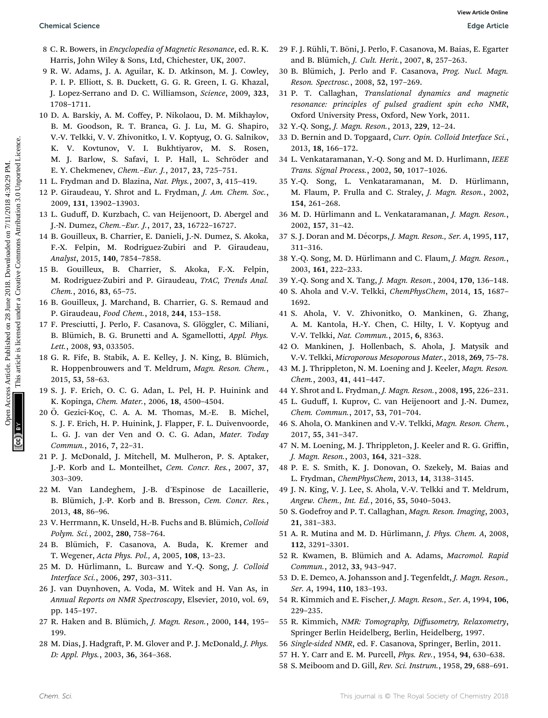- 8 C. R. Bowers, in Encyclopedia of Magnetic Resonance, ed. R. K. Harris, John Wiley & Sons, Ltd, Chichester, UK, 2007.
- 9 R. W. Adams, J. A. Aguilar, K. D. Atkinson, M. J. Cowley, P. I. P. Elliott, S. B. Duckett, G. G. R. Green, I. G. Khazal, J. Lopez-Serrano and D. C. Williamson, Science, 2009, 323, 1708–1711.
- 10 D. A. Barskiy, A. M. Coffey, P. Nikolaou, D. M. Mikhaylov, B. M. Goodson, R. T. Branca, G. J. Lu, M. G. Shapiro, V.-V. Telkki, V. V. Zhivonitko, I. V. Koptyug, O. G. Salnikov, K. V. Kovtunov, V. I. Bukhtiyarov, M. S. Rosen, M. J. Barlow, S. Safavi, I. P. Hall, L. Schröder and E. Y. Chekmenev, Chem.–Eur. J., 2017, 23, 725–751. Openical Science<br>
8 C. R. Bossetti of Magnetic Resonance, ed. R. K. 29 F. J. Riali, T. Bossi, J. A. P. C. Higher, 1997, 1997, 1997, 1997, 1997, 1997, 1997, 1997, 1997, 1997, 1997, 1997, 1997, 1997, 1997, 1997, 1997, 1997,
	- 11 L. Frydman and D. Blazina, Nat. Phys., 2007, 3, 415–419.
	- 12 P. Giraudeau, Y. Shrot and L. Frydman, J. Am. Chem. Soc., 2009, 131, 13902–13903.
	- 13 L. Guduff, D. Kurzbach, C. van Heijenoort, D. Abergel and J.-N. Dumez, Chem.–Eur. J., 2017, 23, 16722–16727.
	- 14 B. Gouilleux, B. Charrier, E. Danieli, J.-N. Dumez, S. Akoka, F.-X. Felpin, M. Rodriguez-Zubiri and P. Giraudeau, Analyst, 2015, 140, 7854–7858.
	- 15 B. Gouilleux, B. Charrier, S. Akoka, F.-X. Felpin, M. Rodriguez-Zubiri and P. Giraudeau, TrAC, Trends Anal. Chem., 2016, 83, 65–75.
	- 16 B. Gouilleux, J. Marchand, B. Charrier, G. S. Remaud and P. Giraudeau, Food Chem., 2018, 244, 153–158.
	- 17 F. Presciutti, J. Perlo, F. Casanova, S. Glöggler, C. Miliani, B. Blümich, B. G. Brunetti and A. Sgamellotti, Appl. Phys. Lett., 2008, 93, 033505.
	- 18 G. R. Fife, B. Stabik, A. E. Kelley, J. N. King, B. Blümich, R. Hoppenbrouwers and T. Meldrum, Magn. Reson. Chem., 2015, <sup>53</sup>, 58–63.
	- 19 S. J. F. Erich, O. C. G. Adan, L. Pel, H. P. Huinink and K. Kopinga, Chem. Mater., 2006, 18, 4500–4504.
	- 20 Ö. Gezici-Koç, C. A. A. M. Thomas, M.-E. B. Michel, S. J. F. Erich, H. P. Huinink, J. Flapper, F. L. Duivenvoorde, L. G. J. van der Ven and O. C. G. Adan, Mater. Today Commun., 2016, 7, 22–31.
	- 21 P. J. McDonald, J. Mitchell, M. Mulheron, P. S. Aptaker, J.-P. Korb and L. Monteilhet, Cem. Concr. Res., 2007, 37, 303–309.
	- 22 M. Van Landeghem, J.-B. d'Espinose de Lacaillerie, B. Blümich, J.-P. Korb and B. Bresson, Cem. Concr. Res., 2013, 48, 86–96.
	- 23 V. Herrmann, K. Unseld, H.-B. Fuchs and B. Blümich, Colloid Polym. Sci., 2002, 280, 758–764.
	- 24 B. Blümich, F. Casanova, A. Buda, K. Kremer and T. Wegener, Acta Phys. Pol., A, 2005, 108, 13–23.
	- 25 M. D. Hürlimann, L. Burcaw and Y.-Q. Song, J. Colloid Interface Sci., 2006, 297, 303–311.
	- 26 J. van Duynhoven, A. Voda, M. Witek and H. Van As, in Annual Reports on NMR Spectroscopy, Elsevier, 2010, vol. 69, pp. 145–197.
	- 27 R. Haken and B. Blümich, *J. Magn. Reson.*, 2000, 144, 195-199.
	- 28 M. Dias, J. Hadgraft, P. M. Glover and P. J. McDonald, J. Phys. D: Appl. Phys., 2003, 36, 364–368.
- 29 F. J. Rühli, T. Böni, J. Perlo, F. Casanova, M. Baias, E. Egarter and B. Blümich, *J. Cult. Herit.*, 2007, 8, 257-263.
- 30 B. Blümich, J. Perlo and F. Casanova, Prog. Nucl. Magn. Reson. Spectrosc., 2008, 52, 197–269.
- 31 P. T. Callaghan, Translational dynamics and magnetic resonance: principles of pulsed gradient spin echo NMR, Oxford University Press, Oxford, New York, 2011.
- 32 Y.-Q. Song, J. Magn. Reson., 2013, 229, 12–24.
- 33 D. Bernin and D. Topgaard, Curr. Opin. Colloid Interface Sci., 2013, 18, 166–172.
- 34 L. Venkataramanan, Y.-Q. Song and M. D. Hurlimann, IEEE Trans. Signal Process., 2002, 50, 1017–1026.
- 35 Y.-Q. Song, L. Venkataramanan, M. D. Hürlimann, M. Flaum, P. Frulla and C. Straley, J. Magn. Reson., 2002, 154, 261–268.
- 36 M. D. Hürlimann and L. Venkataramanan, J. Magn. Reson., 2002, 157, 31–42.
- 37 S. J. Doran and M. Décorps, *J. Magn. Reson., Ser. A*, 1995, 117, 311–316.
- 38 Y.-Q. Song, M. D. Hürlimann and C. Flaum, J. Magn. Reson., 2003, 161, 222–233.
- 39 Y.-Q. Song and X. Tang, J. Magn. Reson., 2004, 170, 136–148.
- 40 S. Ahola and V.-V. Telkki, ChemPhysChem, 2014, 15, 1687– 1692.
- 41 S. Ahola, V. V. Zhivonitko, O. Mankinen, G. Zhang, A. M. Kantola, H.-Y. Chen, C. Hilty, I. V. Koptyug and V.-V. Telkki, Nat. Commun., 2015, 6, 8363.
- 42 O. Mankinen, J. Hollenbach, S. Ahola, J. Matysik and V.-V. Telkki, Microporous Mesoporous Mater., 2018, 269, 75–78.
- 43 M. J. Thrippleton, N. M. Loening and J. Keeler, Magn. Reson. Chem., 2003, 41, 441–447.
- 44 Y. Shrot and L. Frydman, J. Magn. Reson., 2008, 195, 226–231.
- 45 L. Guduff, I. Kuprov, C. van Heijenoort and J.-N. Dumez, Chem. Commun., 2017, 53, 701–704.
- 46 S. Ahola, O. Mankinen and V.-V. Telkki, Magn. Reson. Chem., 2017, 55, 341–347.
- 47 N. M. Loening, M. J. Thrippleton, J. Keeler and R. G. Griffin, J. Magn. Reson., 2003, 164, 321–328.
- 48 P. E. S. Smith, K. J. Donovan, O. Szekely, M. Baias and L. Frydman, ChemPhysChem, 2013, 14, 3138–3145.
- 49 J. N. King, V. J. Lee, S. Ahola, V.-V. Telkki and T. Meldrum, Angew. Chem., Int. Ed., 2016, 55, 5040–5043.
- 50 S. Godefroy and P. T. Callaghan, Magn. Reson. Imaging, 2003, 21, 381–383.
- 51 A. R. Mutina and M. D. Hürlimann, J. Phys. Chem. A, 2008, 112, 3291–3301.
- 52 R. Kwamen, B. Blümich and A. Adams, Macromol. Rapid Commun., 2012, 33, 943–947.
- 53 D. E. Demco, A. Johansson and J. Tegenfeldt, J. Magn. Reson., Ser. A, 1994, 110, 183–193.
- 54 R. Kimmich and E. Fischer, J. Magn. Reson., Ser. A, 1994, 106, 229–235.
- 55 R. Kimmich, NMR: Tomography, Diffusometry, Relaxometry, Springer Berlin Heidelberg, Berlin, Heidelberg, 1997.
- 56 Single-sided NMR, ed. F. Casanova, Springer, Berlin, 2011.
- 57 H. Y. Carr and E. M. Purcell, Phys. Rev., 1954, 94, 630–638.
- 58 S. Meiboom and D. Gill, Rev. Sci. Instrum., 1958, 29, 688–691.